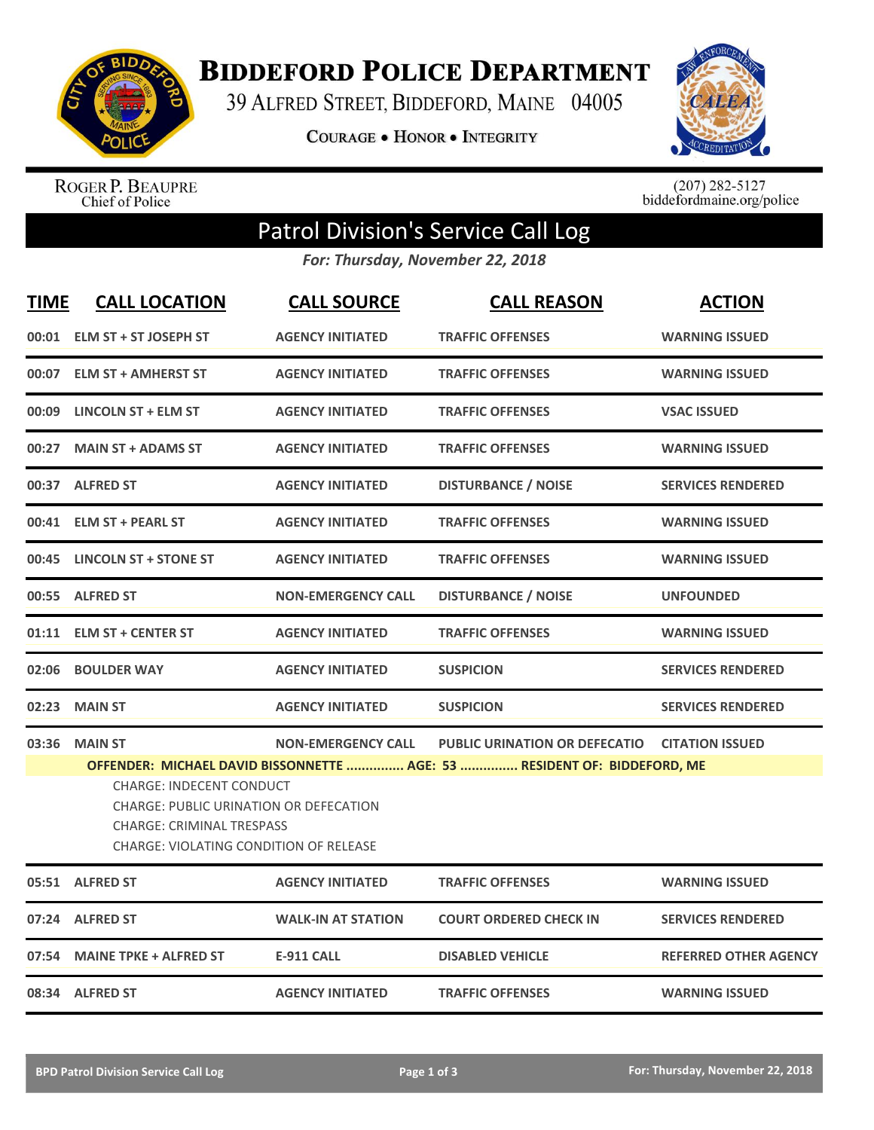

**BIDDEFORD POLICE DEPARTMENT** 

39 ALFRED STREET, BIDDEFORD, MAINE 04005

COURAGE . HONOR . INTEGRITY



ROGER P. BEAUPRE<br>Chief of Police

 $(207)$  282-5127<br>biddefordmaine.org/police

## Patrol Division's Service Call Log

*For: Thursday, November 22, 2018*

| <b>TIME</b> | <b>CALL LOCATION</b>                                                                                                                                                                                                                                                                                                                                        | <b>CALL SOURCE</b>        | <b>CALL REASON</b>            | <b>ACTION</b>                |  |  |
|-------------|-------------------------------------------------------------------------------------------------------------------------------------------------------------------------------------------------------------------------------------------------------------------------------------------------------------------------------------------------------------|---------------------------|-------------------------------|------------------------------|--|--|
| 00:01       | ELM ST + ST JOSEPH ST                                                                                                                                                                                                                                                                                                                                       | <b>AGENCY INITIATED</b>   | <b>TRAFFIC OFFENSES</b>       | <b>WARNING ISSUED</b>        |  |  |
|             | 00:07 ELM ST + AMHERST ST                                                                                                                                                                                                                                                                                                                                   | <b>AGENCY INITIATED</b>   | <b>TRAFFIC OFFENSES</b>       | <b>WARNING ISSUED</b>        |  |  |
|             | 00:09 LINCOLN ST + ELM ST                                                                                                                                                                                                                                                                                                                                   | <b>AGENCY INITIATED</b>   | <b>TRAFFIC OFFENSES</b>       | <b>VSAC ISSUED</b>           |  |  |
| 00:27       | <b>MAIN ST + ADAMS ST</b>                                                                                                                                                                                                                                                                                                                                   | <b>AGENCY INITIATED</b>   | <b>TRAFFIC OFFENSES</b>       | <b>WARNING ISSUED</b>        |  |  |
|             | 00:37 ALFRED ST                                                                                                                                                                                                                                                                                                                                             | <b>AGENCY INITIATED</b>   | <b>DISTURBANCE / NOISE</b>    | <b>SERVICES RENDERED</b>     |  |  |
| 00:41       | <b>ELM ST + PEARL ST</b>                                                                                                                                                                                                                                                                                                                                    | <b>AGENCY INITIATED</b>   | <b>TRAFFIC OFFENSES</b>       | <b>WARNING ISSUED</b>        |  |  |
| 00:45       | <b>LINCOLN ST + STONE ST</b>                                                                                                                                                                                                                                                                                                                                | <b>AGENCY INITIATED</b>   | <b>TRAFFIC OFFENSES</b>       | <b>WARNING ISSUED</b>        |  |  |
| 00:55       | <b>ALFRED ST</b>                                                                                                                                                                                                                                                                                                                                            | <b>NON-EMERGENCY CALL</b> | <b>DISTURBANCE / NOISE</b>    | <b>UNFOUNDED</b>             |  |  |
| 01:11       | <b>ELM ST + CENTER ST</b>                                                                                                                                                                                                                                                                                                                                   | <b>AGENCY INITIATED</b>   | <b>TRAFFIC OFFENSES</b>       | <b>WARNING ISSUED</b>        |  |  |
| 02:06       | <b>BOULDER WAY</b>                                                                                                                                                                                                                                                                                                                                          | <b>AGENCY INITIATED</b>   | <b>SUSPICION</b>              | <b>SERVICES RENDERED</b>     |  |  |
| 02:23       | <b>MAIN ST</b>                                                                                                                                                                                                                                                                                                                                              | <b>AGENCY INITIATED</b>   | <b>SUSPICION</b>              | <b>SERVICES RENDERED</b>     |  |  |
| 03:36       | <b>MAIN ST</b><br><b>NON-EMERGENCY CALL</b><br><b>PUBLIC URINATION OR DEFECATIO</b><br><b>CITATION ISSUED</b><br>OFFENDER: MICHAEL DAVID BISSONNETTE  AGE: 53  RESIDENT OF: BIDDEFORD, ME<br><b>CHARGE: INDECENT CONDUCT</b><br><b>CHARGE: PUBLIC URINATION OR DEFECATION</b><br><b>CHARGE: CRIMINAL TRESPASS</b><br>CHARGE: VIOLATING CONDITION OF RELEASE |                           |                               |                              |  |  |
|             | 05:51 ALFRED ST                                                                                                                                                                                                                                                                                                                                             | <b>AGENCY INITIATED</b>   | <b>TRAFFIC OFFENSES</b>       | <b>WARNING ISSUED</b>        |  |  |
| 07:24       | <b>ALFRED ST</b>                                                                                                                                                                                                                                                                                                                                            | <b>WALK-IN AT STATION</b> | <b>COURT ORDERED CHECK IN</b> | <b>SERVICES RENDERED</b>     |  |  |
| 07:54       | <b>MAINE TPKE + ALFRED ST</b>                                                                                                                                                                                                                                                                                                                               | <b>E-911 CALL</b>         | <b>DISABLED VEHICLE</b>       | <b>REFERRED OTHER AGENCY</b> |  |  |
|             | 08:34 ALFRED ST                                                                                                                                                                                                                                                                                                                                             | <b>AGENCY INITIATED</b>   | <b>TRAFFIC OFFENSES</b>       | <b>WARNING ISSUED</b>        |  |  |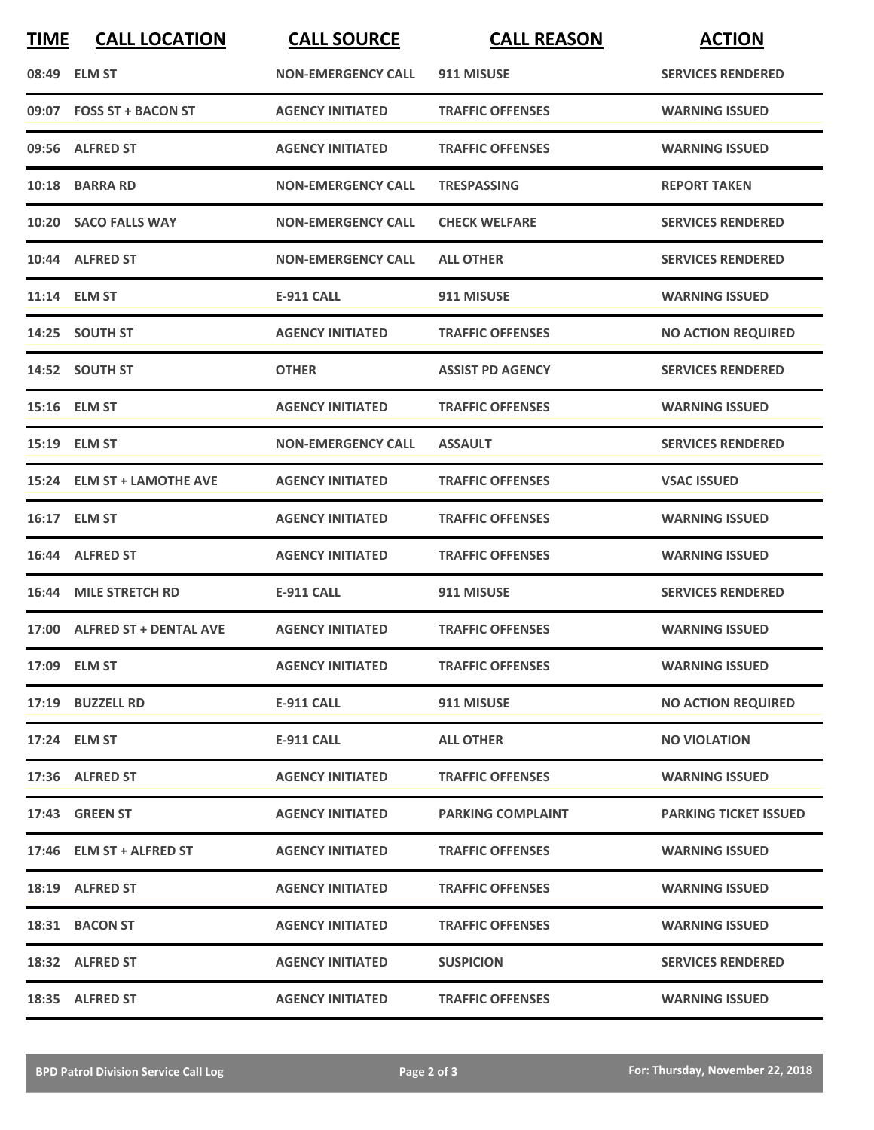| <b>TIME</b> | <b>CALL LOCATION</b>         | <b>CALL SOURCE</b>        | <b>CALL REASON</b>       | <b>ACTION</b>                |
|-------------|------------------------------|---------------------------|--------------------------|------------------------------|
|             | 08:49 ELM ST                 | <b>NON-EMERGENCY CALL</b> | 911 MISUSE               | <b>SERVICES RENDERED</b>     |
|             | 09:07 FOSS ST + BACON ST     | <b>AGENCY INITIATED</b>   | <b>TRAFFIC OFFENSES</b>  | <b>WARNING ISSUED</b>        |
|             | 09:56 ALFRED ST              | <b>AGENCY INITIATED</b>   | <b>TRAFFIC OFFENSES</b>  | <b>WARNING ISSUED</b>        |
|             | 10:18 BARRA RD               | <b>NON-EMERGENCY CALL</b> | <b>TRESPASSING</b>       | <b>REPORT TAKEN</b>          |
|             | 10:20 SACO FALLS WAY         | <b>NON-EMERGENCY CALL</b> | <b>CHECK WELFARE</b>     | <b>SERVICES RENDERED</b>     |
|             | 10:44 ALFRED ST              | <b>NON-EMERGENCY CALL</b> | <b>ALL OTHER</b>         | <b>SERVICES RENDERED</b>     |
|             | 11:14 ELM ST                 | <b>E-911 CALL</b>         | 911 MISUSE               | <b>WARNING ISSUED</b>        |
|             | 14:25 SOUTH ST               | <b>AGENCY INITIATED</b>   | <b>TRAFFIC OFFENSES</b>  | <b>NO ACTION REQUIRED</b>    |
|             | 14:52 SOUTH ST               | <b>OTHER</b>              | <b>ASSIST PD AGENCY</b>  | <b>SERVICES RENDERED</b>     |
|             | 15:16 ELM ST                 | <b>AGENCY INITIATED</b>   | <b>TRAFFIC OFFENSES</b>  | <b>WARNING ISSUED</b>        |
|             | 15:19 ELM ST                 | <b>NON-EMERGENCY CALL</b> | <b>ASSAULT</b>           | <b>SERVICES RENDERED</b>     |
|             | 15:24 ELM ST + LAMOTHE AVE   | <b>AGENCY INITIATED</b>   | <b>TRAFFIC OFFENSES</b>  | <b>VSAC ISSUED</b>           |
|             | 16:17 ELM ST                 | <b>AGENCY INITIATED</b>   | <b>TRAFFIC OFFENSES</b>  | <b>WARNING ISSUED</b>        |
|             | 16:44 ALFRED ST              | <b>AGENCY INITIATED</b>   | <b>TRAFFIC OFFENSES</b>  | <b>WARNING ISSUED</b>        |
|             | 16:44 MILE STRETCH RD        | <b>E-911 CALL</b>         | 911 MISUSE               | <b>SERVICES RENDERED</b>     |
|             | 17:00 ALFRED ST + DENTAL AVE | <b>AGENCY INITIATED</b>   | <b>TRAFFIC OFFENSES</b>  | <b>WARNING ISSUED</b>        |
|             | 17:09 ELM ST                 | <b>AGENCY INITIATED</b>   | <b>TRAFFIC OFFENSES</b>  | <b>WARNING ISSUED</b>        |
|             | 17:19 BUZZELL RD             | <b>E-911 CALL</b>         | 911 MISUSE               | <b>NO ACTION REQUIRED</b>    |
|             | 17:24 ELM ST                 | E-911 CALL                | <b>ALL OTHER</b>         | <b>NO VIOLATION</b>          |
|             | 17:36 ALFRED ST              | <b>AGENCY INITIATED</b>   | <b>TRAFFIC OFFENSES</b>  | <b>WARNING ISSUED</b>        |
|             | 17:43 GREEN ST               | <b>AGENCY INITIATED</b>   | <b>PARKING COMPLAINT</b> | <b>PARKING TICKET ISSUED</b> |
|             | 17:46 ELM ST + ALFRED ST     | <b>AGENCY INITIATED</b>   | <b>TRAFFIC OFFENSES</b>  | <b>WARNING ISSUED</b>        |
|             | 18:19 ALFRED ST              | <b>AGENCY INITIATED</b>   | <b>TRAFFIC OFFENSES</b>  | <b>WARNING ISSUED</b>        |
|             | 18:31 BACON ST               | <b>AGENCY INITIATED</b>   | <b>TRAFFIC OFFENSES</b>  | <b>WARNING ISSUED</b>        |
|             | 18:32 ALFRED ST              | <b>AGENCY INITIATED</b>   | <b>SUSPICION</b>         | <b>SERVICES RENDERED</b>     |
|             | 18:35 ALFRED ST              | <b>AGENCY INITIATED</b>   | <b>TRAFFIC OFFENSES</b>  | <b>WARNING ISSUED</b>        |